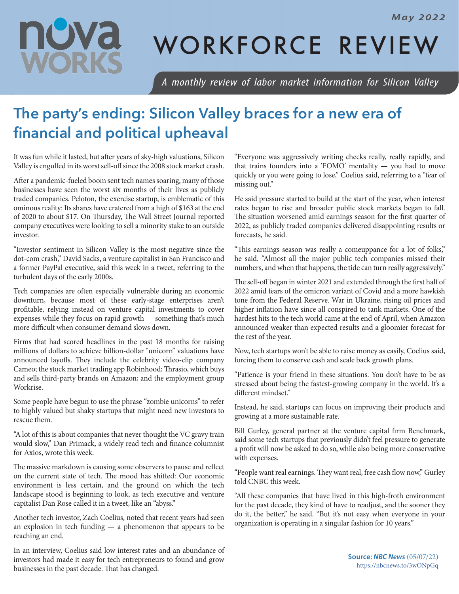

## WORKFORCE REVIEW

*A monthly review of labor market information for Silicon Valley*

## **The party's ending: Silicon Valley braces for a new era of financial and political upheaval**

It was fun while it lasted, but after years of sky-high valuations, Silicon Valley is engulfed in its worst sell-off since the 2008 stock market crash.

After a pandemic-fueled boom sent tech names soaring, many of those businesses have seen the worst six months of their lives as publicly traded companies. Peloton, the exercise startup, is emblematic of this ominous reality: Its shares have cratered from a high of \$163 at the end of 2020 to about \$17. On Thursday, The Wall Street Journal reported company executives were looking to sell a minority stake to an outside investor.

"Investor sentiment in Silicon Valley is the most negative since the dot-com crash," David Sacks, a venture capitalist in San Francisco and a former PayPal executive, said this week in a tweet, referring to the turbulent days of the early 2000s.

Tech companies are often especially vulnerable during an economic downturn, because most of these early-stage enterprises aren't profitable, relying instead on venture capital investments to cover expenses while they focus on rapid growth  $-$  something that's much more difficult when consumer demand slows down.

Firms that had scored headlines in the past 18 months for raising millions of dollars to achieve billion-dollar "unicorn" valuations have announced layoffs. They include the celebrity video-clip company Cameo; the stock market trading app Robinhood; Thrasio, which buys and sells third-party brands on Amazon; and the employment group Workrise.

Some people have begun to use the phrase "zombie unicorns" to refer to highly valued but shaky startups that might need new investors to rescue them.

"A lot of this is about companies that never thought the VC gravy train would slow," Dan Primack, a widely read tech and finance columnist for Axios, wrote this week.

The massive markdown is causing some observers to pause and reflect on the current state of tech. The mood has shifted: Our economic environment is less certain, and the ground on which the tech landscape stood is beginning to look, as tech executive and venture capitalist Dan Rose called it in a tweet, like an "abyss."

Another tech investor, Zach Coelius, noted that recent years had seen an explosion in tech funding — a phenomenon that appears to be reaching an end.

In an interview, Coelius said low interest rates and an abundance of investors had made it easy for tech entrepreneurs to found and grow businesses in the past decade. That has changed.

"Everyone was aggressively writing checks really, really rapidly, and that trains founders into a 'FOMO' mentality — you had to move quickly or you were going to lose," Coelius said, referring to a "fear of missing out."

He said pressure started to build at the start of the year, when interest rates began to rise and broader public stock markets began to fall. The situation worsened amid earnings season for the first quarter of 2022, as publicly traded companies delivered disappointing results or forecasts, he said.

"This earnings season was really a comeuppance for a lot of folks," he said. "Almost all the major public tech companies missed their numbers, and when that happens, the tide can turn really aggressively."

The sell-off began in winter 2021 and extended through the first half of 2022 amid fears of the omicron variant of Covid and a more hawkish tone from the Federal Reserve. War in Ukraine, rising oil prices and higher inflation have since all conspired to tank markets. One of the hardest hits to the tech world came at the end of April, when Amazon announced weaker than expected results and a gloomier forecast for the rest of the year.

Now, tech startups won't be able to raise money as easily, Coelius said, forcing them to conserve cash and scale back growth plans.

"Patience is your friend in these situations. You don't have to be as stressed about being the fastest-growing company in the world. It's a different mindset."

Instead, he said, startups can focus on improving their products and growing at a more sustainable rate.

Bill Gurley, general partner at the venture capital firm Benchmark, said some tech startups that previously didn't feel pressure to generate a profit will now be asked to do so, while also being more conservative with expenses.

"People want real earnings. They want real, free cash flow now," Gurley told CNBC this week.

"All these companies that have lived in this high-froth environment for the past decade, they kind of have to readjust, and the sooner they do it, the better," he said. "But it's not easy when everyone in your organization is operating in a singular fashion for 10 years."